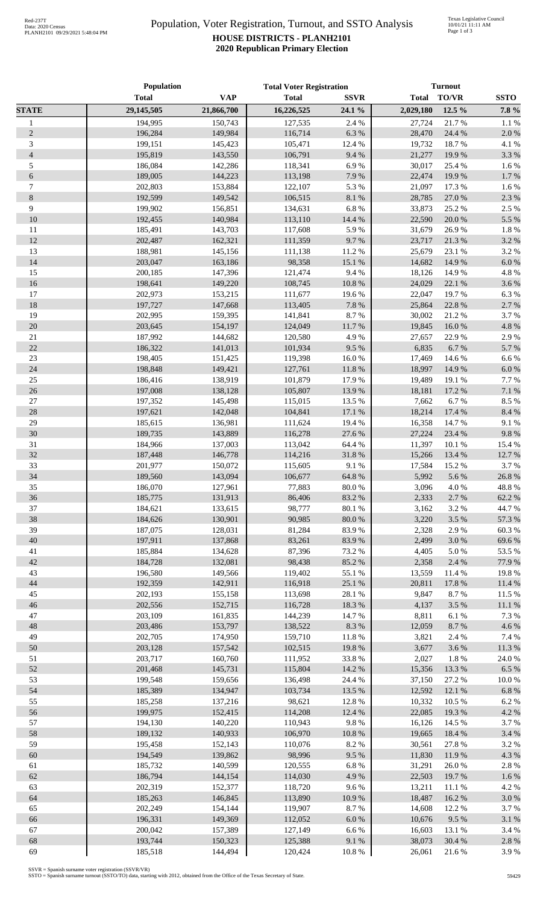## Population, Voter Registration, Turnout, and SSTO Analysis **HOUSE DISTRICTS - PLANH2101 2020 Republican Primary Election**

|                  | <b>Population</b>  |                    | <b>Total Voter Registration</b> |                      | <b>Turnout</b>   |                |                 |
|------------------|--------------------|--------------------|---------------------------------|----------------------|------------------|----------------|-----------------|
|                  | <b>Total</b>       | <b>VAP</b>         | <b>Total</b>                    | <b>SSVR</b>          | <b>Total</b>     | TO/VR          | <b>SSTO</b>     |
| <b>STATE</b>     | 29,145,505         | 21,866,700         | 16,226,525                      | 24.1 %               | 2,029,180        | 12.5 %         | 7.8 %           |
| $\mathbf{1}$     | 194,995            | 150,743            | 127,535                         | 2.4 %                | 27,724           | 21.7%          | 1.1 %           |
| $\sqrt{2}$       | 196,284            | 149,984            | 116,714                         | 6.3%                 | 28,470           | 24.4 %         | 2.0%            |
| $\mathfrak{Z}$   | 199,151            | 145,423            | 105,471                         | 12.4 %               | 19,732           | 18.7%          | 4.1 %           |
| $\overline{4}$   | 195,819            | 143,550            | 106,791                         | 9.4%                 | 21,277           | 19.9%          | 3.3 %           |
| 5                | 186,084            | 142,286            | 118,341                         | 6.9%                 | 30,017           | 25.4 %         | 1.6 %           |
| $\epsilon$       | 189,005            | 144,223            | 113,198                         | 7.9%                 | 22,474           | 19.9%          | 1.7%            |
| $\boldsymbol{7}$ | 202,803            | 153,884            | 122,107                         | 5.3 %                | 21,097           | 17.3 %         | 1.6 %           |
| $\,8\,$<br>9     | 192,599<br>199,902 | 149,542<br>156,851 | 106,515<br>134,631              | $8.1~\%$<br>$6.8~\%$ | 28,785           | 27.0%<br>25.2% | 2.3 %<br>2.5 %  |
| 10               | 192,455            | 140,984            | 113,110                         | 14.4 %               | 33,873<br>22,590 | 20.0%          | 5.5 %           |
| 11               | 185,491            | 143,703            | 117,608                         | 5.9%                 | 31,679           | 26.9%          | 1.8%            |
| 12               | 202,487            | 162,321            | 111,359                         | 9.7%                 | 23,717           | 21.3%          | 3.2 %           |
| 13               | 188,981            | 145,156            | 111,138                         | 11.2%                | 25,679           | 23.1 %         | 3.2 %           |
| 14               | 203,047            | 163,186            | 98,358                          | 15.1 %               | 14,682           | 14.9%          | 6.0 %           |
| 15               | 200,185            | 147,396            | 121,474                         | 9.4%                 | 18,126           | 14.9%          | 4.8%            |
| 16               | 198,641            | 149,220            | 108,745                         | $10.8~\%$            | 24,029           | 22.1 %         | 3.6%            |
| 17               | 202,973            | 153,215            | 111,677                         | 19.6%                | 22,047           | 19.7%          | 6.3%            |
| 18               | 197,727            | 147,668            | 113,405                         | $7.8~\%$             | 25,864           | 22.8%          | 2.7 %           |
| 19               | 202,995            | 159,395            | 141,841                         | 8.7%                 | 30,002           | 21.2%          | 3.7%            |
| 20               | 203,645            | 154,197            | 124,049                         | 11.7 %               | 19,845           | 16.0%          | 4.8 %           |
| $21\,$           | 187,992            | 144,682            | 120,580                         | 4.9%                 | 27,657           | 22.9%          | 2.9%            |
| 22               | 186,322            | 141,013            | 101,934                         | 9.5%                 | 6,835            | 6.7%           | 5.7 %           |
| 23               | 198,405            | 151,425            | 119,398                         | $16.0\ \%$           | 17,469           | 14.6 %         | 6.6%            |
| 24               | 198,848            | 149,421            | 127,761                         | $11.8\ \%$           | 18,997           | 14.9%          | 6.0%            |
| 25               | 186,416            | 138,919            | 101,879                         | 17.9%                | 19,489           | 19.1 %         | 7.7 %           |
| 26<br>$27\,$     | 197,008<br>197,352 | 138,128<br>145,498 | 105,807<br>115,015              | 13.9%<br>13.5 %      | 18,181<br>7,662  | 17.2 %<br>6.7% | 7.1 %<br>8.5 %  |
| 28               | 197,621            | 142,048            | 104,841                         | $17.1\text{ }\%$     | 18,214           | 17.4 %         | 8.4 %           |
| 29               | 185,615            | 136,981            | 111,624                         | 19.4 %               | 16,358           | 14.7%          | 9.1%            |
| 30               | 189,735            | 143,889            | 116,278                         | 27.6 %               | 27,224           | 23.4 %         | 9.8%            |
| 31               | 184,966            | 137,003            | 113,042                         | 64.4 %               | 11,397           | 10.1 %         | 15.4 %          |
| 32               | 187,448            | 146,778            | 114,216                         | 31.8%                | 15,266           | 13.4 %         | 12.7 %          |
| 33               | 201,977            | 150,072            | 115,605                         | 9.1%                 | 17,584           | 15.2%          | 3.7%            |
| 34               | 189,560            | 143,094            | 106,677                         | 64.8 %               | 5,992            | 5.6%           | 26.8%           |
| 35               | 186,070            | 127,961            | 77,883                          | 80.0%                | 3,096            | 4.0%           | 48.8%           |
| 36               | 185,775            | 131,913            | 86,406                          | 83.2%                | 2,333            | 2.7 %          | 62.2%           |
| 37               | 184,621            | 133,615            | 98,777                          | 80.1 %               | 3,162            | 3.2 %          | 44.7%           |
| 38               | 184,626            | 130,901            | 90,985                          | $80.0\ \%$           | 3,220            | 3.5 %          | 57.3 %          |
| 39               | 187,075            | 128,031            | 81,284                          | 83.9%                | 2,328            | 2.9%           | 60.3%           |
| 40               | 197,911            | 137,868            | 83,261                          | 83.9%                | 2,499            | 3.0%           | 69.6%           |
| 41               | 185,884            | 134,628            | 87,396                          | 73.2 %               | 4,405            | 5.0%           | 53.5 %          |
| 42               | 184,728            | 132,081            | 98,438                          | 85.2%                | 2,358            | 2.4 %          | 77.9 %          |
| 43<br>44         | 196,580<br>192,359 | 149,566            | 119,402<br>116,918              | 55.1 %<br>25.1 %     | 13,559           | 11.4 %         | 19.8%<br>11.4 % |
| 45               | 202,193            | 142,911<br>155,158 | 113,698                         | 28.1 %               | 20,811<br>9,847  | 17.8 %<br>8.7% | 11.5 %          |
| 46               | 202,556            | 152,715            | 116,728                         | 18.3 %               | 4,137            | 3.5 %          | 11.1 %          |
| 47               | 203,109            | 161,835            | 144,239                         | 14.7 %               | 8,811            | 6.1%           | 7.3 %           |
| 48               | 203,486            | 153,797            | 138,522                         | 8.3%                 | 12,059           | 8.7%           | 4.6%            |
| 49               | 202,705            | 174,950            | 159,710                         | 11.8 %               | 3,821            | 2.4 %          | 7.4 %           |
| 50               | 203,128            | 157,542            | 102,515                         | 19.8%                | 3,677            | 3.6%           | 11.3 %          |
| 51               | 203,717            | 160,760            | 111,952                         | 33.8%                | 2,027            | 1.8%           | 24.0%           |
| 52               | 201,468            | 145,731            | 115,804                         | 14.2 %               | 15,356           | 13.3 %         | 6.5 %           |
| 53               | 199,548            | 159,656            | 136,498                         | 24.4 %               | 37,150           | 27.2 %         | 10.0%           |
| 54               | 185,389            | 134,947            | 103,734                         | 13.5 %               | 12,592           | 12.1 %         | 6.8%            |
| 55               | 185,258            | 137,216            | 98,621                          | 12.8 %               | 10,332           | 10.5 %         | 6.2%            |
| 56               | 199,975            | 152,415            | 114,208                         | 12.4 %               | 22,085           | 19.3 %         | 4.2 %           |
| 57               | 194,130            | 140,220            | 110,943                         | 9.8 %                | 16,126           | 14.5 %         | 3.7%            |
| 58               | 189,132            | 140,933            | 106,970                         | $10.8~\%$            | 19,665           | 18.4%          | 3.4 %           |
| 59               | 195,458            | 152,143            | 110,076                         | 8.2 %                | 30,561           | 27.8 %         | 3.2 %           |
| 60               | 194,549            | 139,862            | 98,996                          | 9.5%                 | 11,830           | 11.9%          | 4.3 %           |
| 61               | 185,732            | 140,599            | 120,555                         | $6.8~\%$             | 31,291           | 26.0%          | 2.8 %           |
| 62               | 186,794            | 144,154            | 114,030                         | 4.9%                 | 22,503           | 19.7%          | 1.6%            |
| 63<br>64         | 202,319<br>185,263 | 152,377<br>146,845 | 118,720<br>113,890              | 9.6%<br>$10.9\ \%$   | 13,211<br>18,487 | 11.1%<br>16.2% | 4.2 %<br>3.0%   |
| 65               | 202,249            | 154,144            | 119,907                         | 8.7%                 | 14,608           | 12.2 %         | 3.7%            |
| 66               | 196,331            | 149,369            | 112,052                         | $6.0~\%$             | 10,676           | 9.5%           | 3.1 %           |
| 67               | 200,042            | 157,389            | 127,149                         | 6.6%                 | 16,603           | 13.1 %         | 3.4 %           |
| 68               | 193,744            | 150,323            | 125,388                         | $9.1\ \%$            | 38,073           | 30.4 %         | 2.8 %           |
| 69               | 185,518            | 144,494            | 120,424                         | 10.8 %               | 26,061           | 21.6%          | 3.9%            |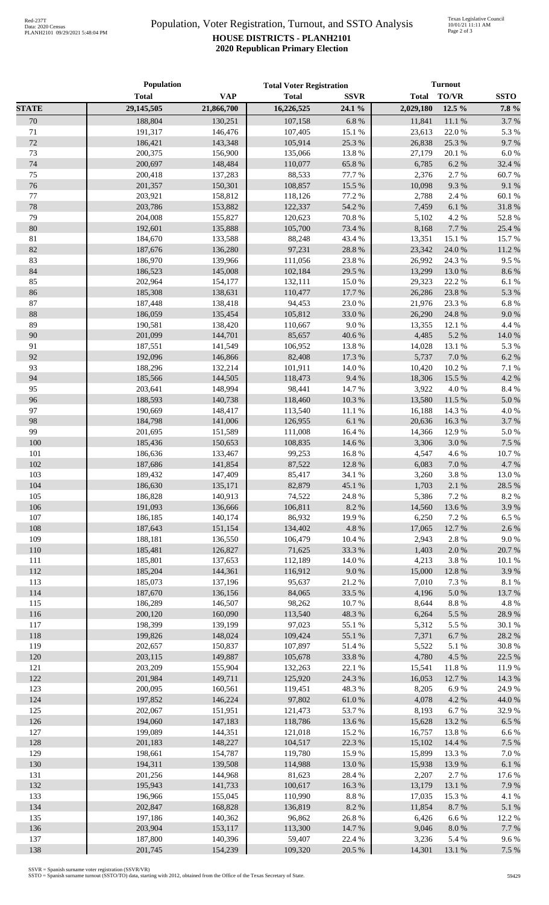## Population, Voter Registration, Turnout, and SSTO Analysis **HOUSE DISTRICTS - PLANH2101 2020 Republican Primary Election**

|              | Population         |                    | <b>Total Voter Registration</b> |                  | <b>Turnout</b>   |                 |               |
|--------------|--------------------|--------------------|---------------------------------|------------------|------------------|-----------------|---------------|
|              | <b>Total</b>       | <b>VAP</b>         | <b>Total</b>                    | <b>SSVR</b>      | <b>Total</b>     | TO/VR           | <b>SSTO</b>   |
| <b>STATE</b> | 29,145,505         | 21,866,700         | 16,226,525                      | 24.1 %           | 2,029,180        | 12.5 %          | 7.8 %         |
| 70           | 188,804            | 130,251            | 107,158                         | 6.8 %            | 11,841           | 11.1%           | 3.7%          |
| $71\,$       | 191,317            | 146,476            | 107,405                         | 15.1 %           | 23,613           | 22.0%           | 5.3%          |
| 72           | 186,421            | 143,348            | 105,914                         | 25.3 %           | 26,838           | 25.3 %          | 9.7%          |
| 73           | 200,375            | 156,900            | 135,066                         | 13.8%            | 27,179           | 20.1 %          | $6.0\ \%$     |
| $74\,$       | 200,697            | 148,484            | 110,077                         | 65.8%            | 6,785            | 6.2%            | 32.4 %        |
| 75           | 200,418            | 137,283            | 88,533                          | 77.7 %           | 2,376            | 2.7 %           | 60.7%         |
| 76           | 201,357            | 150,301            | 108,857                         | 15.5 %           | 10,098           | 9.3%            | 9.1 %         |
| 77           | 203,921            | 158,812            | 118,126                         | 77.2 %           | 2,788            | 2.4 %           | $60.1~\%$     |
| $78\,$       | 203,786            | 153,882            | 122,337                         | 54.2 %           | 7,459            | $6.1~\%$        | 31.8 %        |
| 79           | 204,008            | 155,827            | 120,623                         | $70.8~\%$        | 5,102            | 4.2 %           | 52.8%         |
| $80\,$       | 192,601            | 135,888            | 105,700                         | 73.4 %           | 8,168            | 7.7%            | 25.4 %        |
| 81           | 184,670            | 133,588            | 88,248                          | 43.4 %           | 13,351           | 15.1 %          | 15.7%         |
| 82           | 187,676            | 136,280            | 97,231                          | 28.8 %           | 23,342           | 24.0 %          | $11.2\ \%$    |
| 83           | 186,970            | 139,966            | 111,056                         | 23.8 %           | 26,992           | 24.3 %          | 9.5%          |
| 84           | 186,523            | 145,008            | 102,184                         | 29.5 %           | 13,299           | 13.0%           | 8.6 %         |
| 85           | 202,964            | 154,177            | 132,111                         | 15.0%            | 29,323           | 22.2 %          | 6.1%          |
| 86           | 185,308            | 138,631            | 110,477                         | 17.7 %           | 26,286           | 23.8 %          | 5.3 %         |
| 87           | 187,448            | 138,418            | 94,453                          | 23.0%            | 21,976           | 23.3%           | 6.8%          |
| 88           | 186,059            | 135,454            | 105,812                         | 33.0%            | 26,290           | 24.8 %          | 9.0 %         |
| 89           | 190,581            | 138,420            | 110,667                         | 9.0%             | 13,355           | 12.1 %          | 4.4 %         |
| 90           | 201,099            | 144,701            | 85,657                          | 40.6%            | 4,485            | 5.2%            | 14.0 %        |
| 91           | 187,551            | 141,549            | 106,952                         | 13.8 %           | 14,028           | 13.1 %          | 5.3 %         |
| 92           | 192,096            | 146,866            | 82,408                          | 17.3 %           | 5,737            | 7.0 %           | 6.2 %         |
| 93           | 188,296            | 132,214            | 101,911                         | 14.0%            | 10,420           | 10.2%           | 7.1 %         |
| 94           | 185,566            | 144,505            | 118,473                         | 9.4%             | 18,306           | 15.5 %          | 4.2 %         |
| 95           | 203,641            | 148,994            | 98,441                          | 14.7%            | 3,922            | 4.0%            | 8.4 %         |
| 96           | 188,593            | 140,738            | 118,460                         | 10.3 %           | 13,580           | 11.5 %          | $5.0\ \%$     |
| 97<br>98     | 190,669<br>184,798 | 148,417            | 113,540<br>126,955              | 11.1 %<br>6.1%   | 16,188<br>20,636 | 14.3 %<br>16.3% | 4.0%<br>3.7%  |
| 99           | 201,695            | 141,006<br>151,589 | 111,008                         | 16.4 %           | 14,366           | 12.9%           | 5.0 %         |
| 100          | 185,436            | 150,653            | 108,835                         | 14.6 %           | 3,306            | 3.0%            | 7.5 %         |
| 101          | 186,636            | 133,467            | 99,253                          | 16.8%            | 4,547            | 4.6 %           | 10.7%         |
| 102          | 187,686            | 141,854            | 87,522                          | 12.8 %           | 6,083            | 7.0 %           | 4.7%          |
| 103          | 189,432            | 147,409            | 85,417                          | 34.1 %           | 3,260            | 3.8 %           | 13.0%         |
| 104          | 186,630            | 135,171            | 82,879                          | 45.1 %           | 1,703            | 2.1 %           | 28.5 %        |
| 105          | 186,828            | 140,913            | 74,522                          | 24.8 %           | 5,386            | 7.2 %           | 8.2 %         |
| 106          | 191,093            | 136,666            | 106,811                         | 8.2%             | 14,560           | 13.6 %          | 3.9%          |
| 107          | 186,185            | 140,174            | 86,932                          | 19.9%            | 6,250            | 7.2 %           | 6.5%          |
| 108          | 187,643            | 151,154            | 134,402                         | 4.8 %            | 17,065           | 12.7 %          | 2.6%          |
| 109          | 188,181            | 136,550            | 106,479                         | 10.4 %           | 2,943            | 2.8%            | 9.0%          |
| 110          | 185,481            | 126,827            | 71,625                          | 33.3 %           | 1,403            | 2.0 %           | 20.7%         |
| 111          | 185,801            | 137,653            | 112,189                         | 14.0%            | 4,213            | 3.8%            | 10.1 %        |
| 112          | 185,204            | 144,361            | 116,912                         | 9.0 %            | 15,000           | 12.8 %          | 3.9%          |
| 113          | 185,073            | 137,196            | 95,637                          | 21.2%            | 7,010            | 7.3 %           | $8.1~\%$      |
| 114          | 187,670            | 136,156            | 84,065                          | 33.5 %           | 4,196            | $5.0\ \%$       | 13.7 %        |
| 115          | 186,289            | 146,507            | 98,262                          | 10.7%            | 8,644            | $8.8\ \%$       | $4.8~\%$      |
| 116          | 200,120            | 160,090            | 113,540                         | 48.3%            | 6,264            | 5.5 %           | 28.9%         |
| 117          | 198,399            | 139,199            | 97,023                          | 55.1 %           | 5,312            | 5.5 %           | 30.1 %        |
| 118          | 199,826            | 148,024            | 109,424                         | 55.1 %           | 7,371            | 6.7%            | 28.2 %        |
| 119          | 202,657            | 150,837            | 107,897                         | 51.4%            | 5,522            | 5.1 %           | 30.8%         |
| 120          | 203,115            | 149,887            | 105,678                         | 33.8%            | 4,780            | 4.5 %           | 22.5 %        |
| 121          | 203,209            | 155,904            | 132,263                         | 22.1 %           | 15,541           | 11.8%           | 11.9%         |
| 122          | 201,984            | 149,711            | 125,920                         | 24.3 %           | 16,053           | 12.7 %          | 14.3 %        |
| 123          | 200,095            | 160,561            | 119,451                         | 48.3%            | 8,205            | 6.9%            | 24.9%         |
| 124          | 197,852            | 146,224            | 97,802                          | $61.0\ \%$       | 4,078            | 4.2 %           | 44.0 %        |
| 125          | 202,067            | 151,951            | 121,473                         | 53.7%            | 8,193            | 6.7%            | 32.9%         |
| 126          | 194,060            | 147,183            | 118,786                         | 13.6 %           | 15,628           | 13.2 %          | 6.5 %         |
| 127          | 199,089            | 144,351            | 121,018                         | 15.2 %           | 16,757           | 13.8%           | 6.6%          |
| 128          | 201,183            | 148,227            | 104,517                         | 22.3 %           | 15,102           | 14.4 %          | 7.5 %         |
| 129          | 198,661            | 154,787            | 119,780                         | 15.9%            | 15,899           | 13.3 %          | $7.0\ \%$     |
| 130          | 194,311            | 139,508            | 114,988                         | 13.0 %           | 15,938           | 13.9%           | $6.1~\%$      |
| 131          | 201,256            | 144,968            | 81,623                          | 28.4 %           | 2,207            | 2.7 %           | 17.6 %        |
| 132          | 195,943            | 141,733            | 100,617                         | 16.3 %           | 13,179           | 13.1 %          | 7.9%          |
| 133          | 196,966            | 155,045            | 110,990                         | $8.8~\%$         | 17,035           | 15.3 %          | 4.1 %         |
| 134          | 202,847            | 168,828            | 136,819                         | $8.2~\%$         | 11,854           | 8.7%            | $5.1~\%$      |
| 135          | 197,186            | 140,362            | 96,862                          | 26.8%            | 6,426            | 6.6%            | 12.2 %        |
| 136          | 203,904            | 153,117            | 113,300                         | 14.7 %           | 9,046            | $8.0\ \%$       | 7.7 %         |
| 137<br>138   | 187,800<br>201,745 | 140,396<br>154,239 | 59,407<br>109,320               | 22.4 %<br>20.5 % | 3,236<br>14,301  | 5.4 %<br>13.1 % | 9.6%<br>7.5 % |
|              |                    |                    |                                 |                  |                  |                 |               |